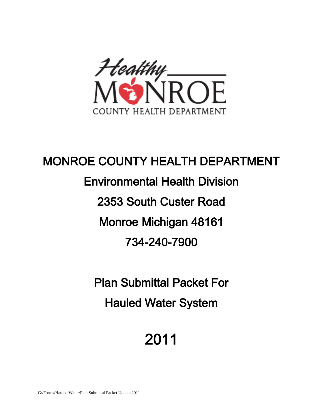

# MONROE COUNTY HEALTH DEPARTMENT Environmental Health Division 2353 South Custer Road Monroe Michigan 48161 734-240-7900

Plan Submittal Packet For Hauled Water System

# 2011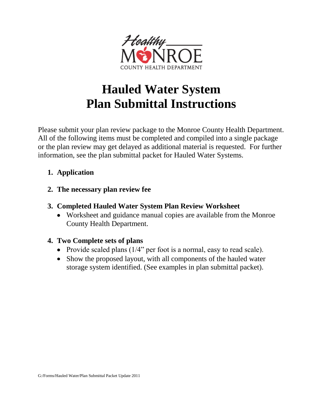

# **Hauled Water System Plan Submittal Instructions**

Please submit your plan review package to the Monroe County Health Department. All of the following items must be completed and compiled into a single package or the plan review may get delayed as additional material is requested. For further information, see the plan submittal packet for Hauled Water Systems.

### **1. Application**

### **2. The necessary plan review fee**

- **3. Completed Hauled Water System Plan Review Worksheet**
	- Worksheet and guidance manual copies are available from the Monroe County Health Department.

## **4. Two Complete sets of plans**

- Provide scaled plans  $(1/4)$  per foot is a normal, easy to read scale).
- Show the proposed layout, with all components of the hauled water storage system identified. (See examples in plan submittal packet).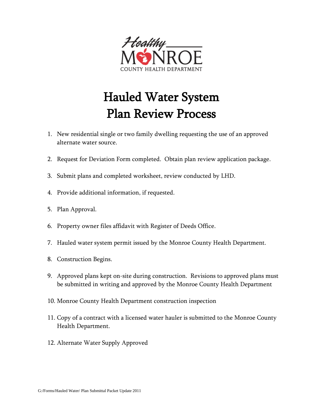

# Hauled Water System Plan Review Process

- 1. New residential single or two family dwelling requesting the use of an approved alternate water source.
- 2. Request for Deviation Form completed. Obtain plan review application package.
- 3. Submit plans and completed worksheet, review conducted by LHD.
- 4. Provide additional information, if requested.
- 5. Plan Approval.
- 6. Property owner files affidavit with Register of Deeds Office.
- 7. Hauled water system permit issued by the Monroe County Health Department.
- 8. Construction Begins.
- 9. Approved plans kept on-site during construction. Revisions to approved plans must be submitted in writing and approved by the Monroe County Health Department
- 10. Monroe County Health Department construction inspection
- 11. Copy of a contract with a licensed water hauler is submitted to the Monroe County Health Department.
- 12. Alternate Water Supply Approved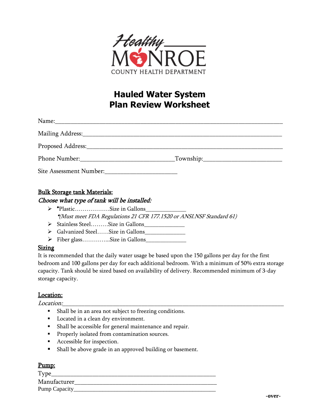

## **Hauled Water System Plan Review Worksheet**

| Phone Number: The Second Second Second Second Second Second Second Second Second Second Second Second Second Second Second Second Second Second Second Second Second Second Second Second Second Second Second Second Second S | $\sqrt{10}$ Township: |
|--------------------------------------------------------------------------------------------------------------------------------------------------------------------------------------------------------------------------------|-----------------------|
|                                                                                                                                                                                                                                |                       |

#### Bulk Storage tank Materials:

#### Choose what type of tank will be installed:

- $\triangleright$  \*Plastic………………Size in Gallons\_ \*(Must meet FDA Regulations 21 CFR 177.1520 or ANSI.NSF Standard 61)
- $\triangleright$  Stainless Steel………Size in Gallons
- ▶ Galvanized Steel……Size in Gallons
- > Fiber glass...............Size in Gallons

#### Sizing

It is recommended that the daily water usage be based upon the 150 gallons per day for the first bedroom and 100 gallons per day for each additional bedroom. With a minimum of 50% extra storage capacity. Tank should be sized based on availability of delivery. Recommended minimum of 3-day storage capacity.

#### Location:

 $Location:$ 

- **Shall be in an area not subject to freezing conditions.**
- **Located in a clean dry environment.**
- Shall be accessible for general maintenance and repair.
- **Properly isolated from contamination sources.**
- Accessible for inspection.
- Shall be above grade in an approved building or basement.

#### Pump:

| Type          |  |
|---------------|--|
| Manufacturer  |  |
| Pump Capacity |  |